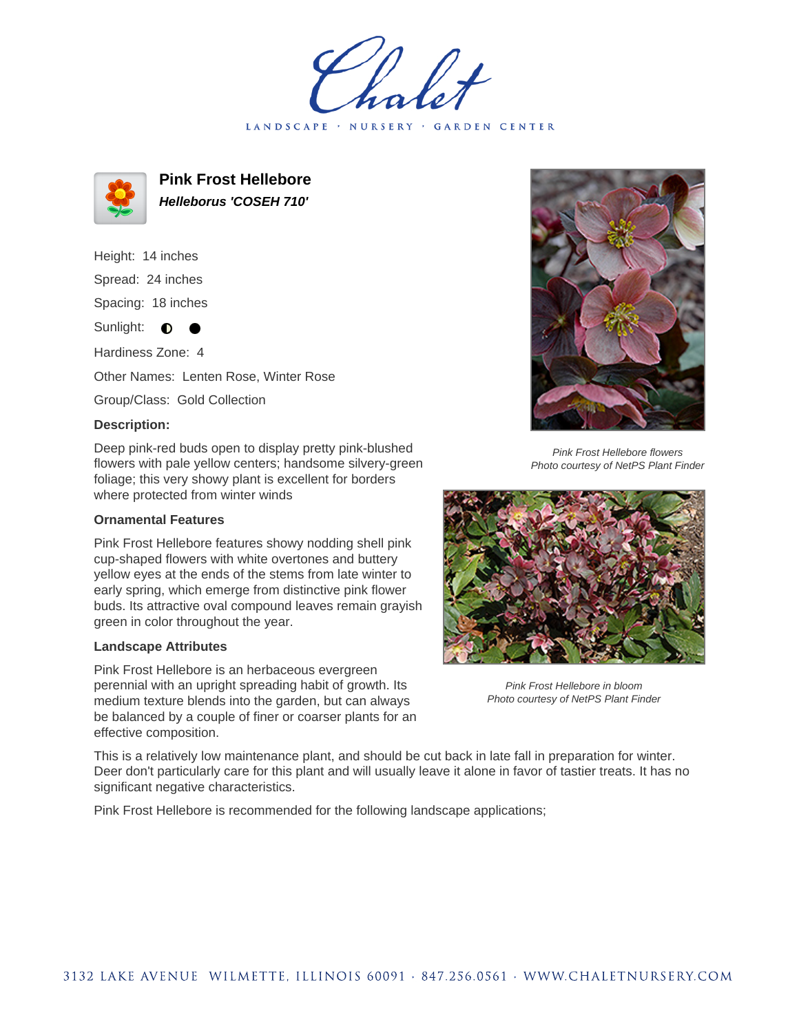LANDSCAPE · NURSERY · GARDEN CENTER



**Pink Frost Hellebore Helleborus 'COSEH 710'**

Height: 14 inches

Spread: 24 inches

Spacing: 18 inches

Sunlight:  $\bullet$  $\bullet$ 

Hardiness Zone: 4

Other Names: Lenten Rose, Winter Rose

Group/Class: Gold Collection

## **Description:**

Deep pink-red buds open to display pretty pink-blushed flowers with pale yellow centers; handsome silvery-green foliage; this very showy plant is excellent for borders where protected from winter winds

## **Ornamental Features**

Pink Frost Hellebore features showy nodding shell pink cup-shaped flowers with white overtones and buttery yellow eyes at the ends of the stems from late winter to early spring, which emerge from distinctive pink flower buds. Its attractive oval compound leaves remain grayish green in color throughout the year.

## **Landscape Attributes**

Pink Frost Hellebore is an herbaceous evergreen perennial with an upright spreading habit of growth. Its medium texture blends into the garden, but can always be balanced by a couple of finer or coarser plants for an effective composition.



Pink Frost Hellebore flowers Photo courtesy of NetPS Plant Finder



Pink Frost Hellebore in bloom Photo courtesy of NetPS Plant Finder

This is a relatively low maintenance plant, and should be cut back in late fall in preparation for winter. Deer don't particularly care for this plant and will usually leave it alone in favor of tastier treats. It has no significant negative characteristics.

Pink Frost Hellebore is recommended for the following landscape applications;